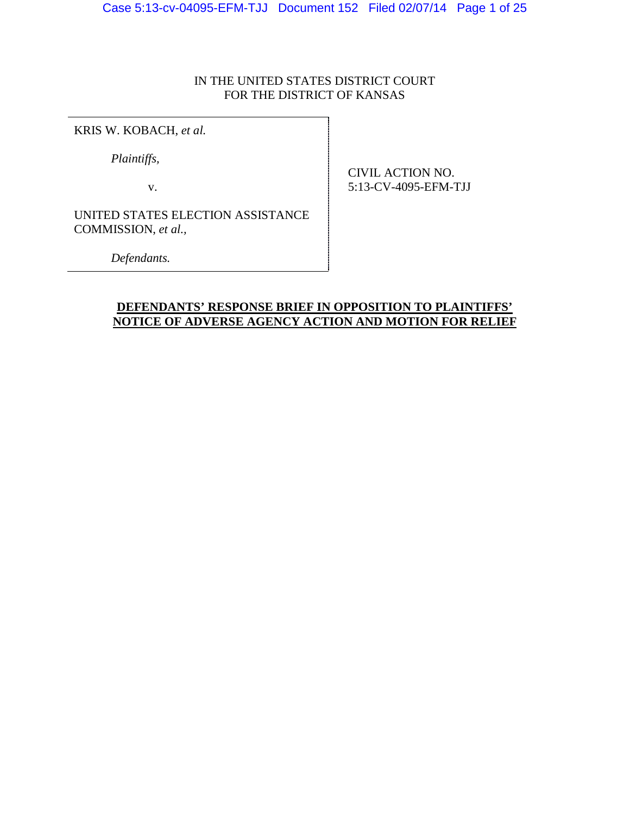# IN THE UNITED STATES DISTRICT COURT FOR THE DISTRICT OF KANSAS

KRIS W. KOBACH, *et al.*

*Plaintiffs,*

v.

CIVIL ACTION NO. 5:13-CV-4095-EFM-TJJ

UNITED STATES ELECTION ASSISTANCE COMMISSION, *et al.,*

*Defendants.*

# **DEFENDANTS' RESPONSE BRIEF IN OPPOSITION TO PLAINTIFFS' NOTICE OF ADVERSE AGENCY ACTION AND MOTION FOR RELIEF**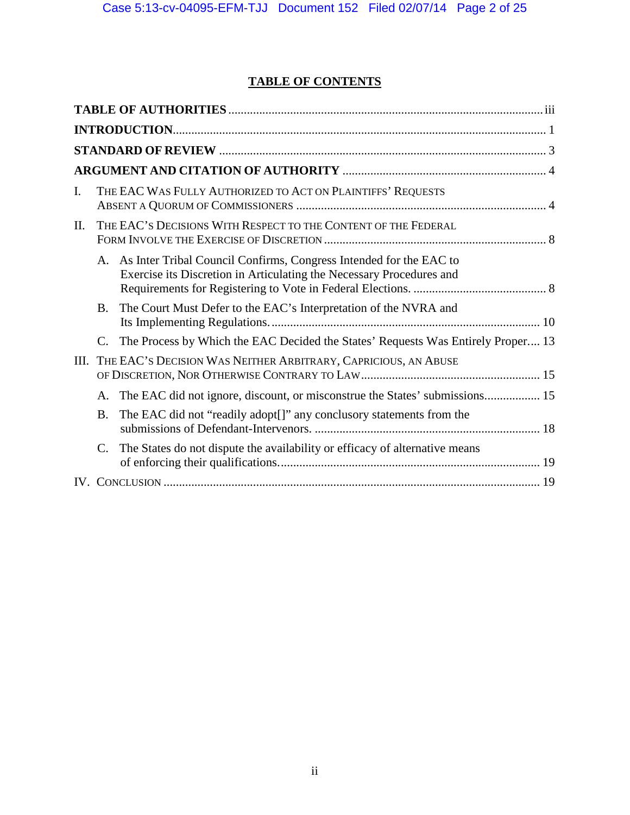# **TABLE OF CONTENTS**

| $\mathbf{I}$ . |           | THE EAC WAS FULLY AUTHORIZED TO ACT ON PLAINTIFFS' REQUESTS                                                                                   |  |  |  |  |  |
|----------------|-----------|-----------------------------------------------------------------------------------------------------------------------------------------------|--|--|--|--|--|
| Π.             |           | THE EAC'S DECISIONS WITH RESPECT TO THE CONTENT OF THE FEDERAL                                                                                |  |  |  |  |  |
|                |           | A. As Inter Tribal Council Confirms, Congress Intended for the EAC to<br>Exercise its Discretion in Articulating the Necessary Procedures and |  |  |  |  |  |
|                | <b>B.</b> | The Court Must Defer to the EAC's Interpretation of the NVRA and                                                                              |  |  |  |  |  |
|                | C.        | The Process by Which the EAC Decided the States' Requests Was Entirely Proper 13                                                              |  |  |  |  |  |
| III.           |           | THE EAC'S DECISION WAS NEITHER ARBITRARY, CAPRICIOUS, AN ABUSE                                                                                |  |  |  |  |  |
|                | A.        | The EAC did not ignore, discount, or misconstrue the States' submissions 15                                                                   |  |  |  |  |  |
|                | <b>B.</b> | The EAC did not "readily adopt[]" any conclusory statements from the                                                                          |  |  |  |  |  |
|                | C.        | The States do not dispute the availability or efficacy of alternative means                                                                   |  |  |  |  |  |
|                |           |                                                                                                                                               |  |  |  |  |  |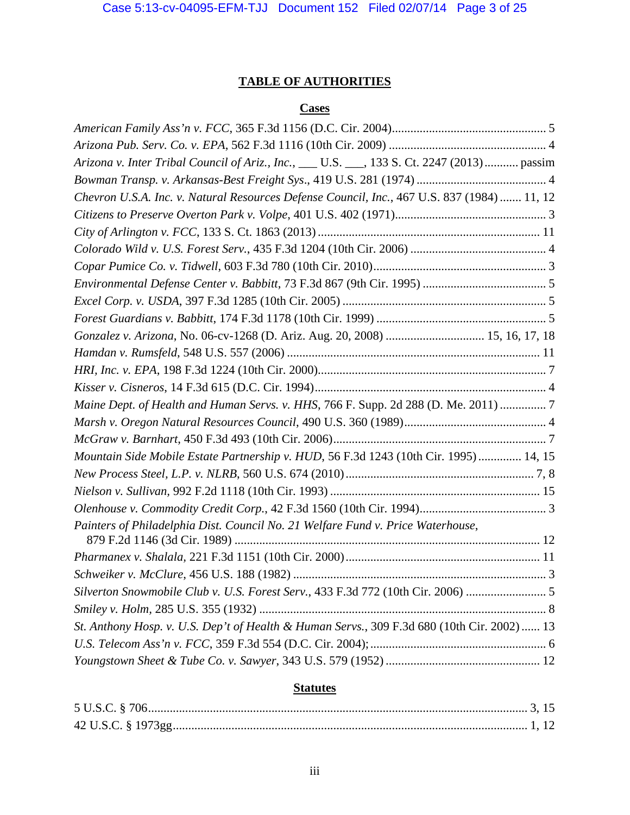# **TABLE OF AUTHORITIES**

# **Cases**

<span id="page-2-0"></span>

| Arizona v. Inter Tribal Council of Ariz., Inc., ___ U.S. ___, 133 S. Ct. 2247 (2013) passim |
|---------------------------------------------------------------------------------------------|
|                                                                                             |
| Chevron U.S.A. Inc. v. Natural Resources Defense Council, Inc., 467 U.S. 837 (1984)  11, 12 |
|                                                                                             |
|                                                                                             |
|                                                                                             |
|                                                                                             |
|                                                                                             |
|                                                                                             |
|                                                                                             |
| Gonzalez v. Arizona, No. 06-cv-1268 (D. Ariz. Aug. 20, 2008)  15, 16, 17, 18                |
|                                                                                             |
|                                                                                             |
|                                                                                             |
| Maine Dept. of Health and Human Servs. v. HHS, 766 F. Supp. 2d 288 (D. Me. 2011) 7          |
|                                                                                             |
|                                                                                             |
| Mountain Side Mobile Estate Partnership v. HUD, 56 F.3d 1243 (10th Cir. 1995)  14, 15       |
|                                                                                             |
|                                                                                             |
|                                                                                             |
| Painters of Philadelphia Dist. Council No. 21 Welfare Fund v. Price Waterhouse,             |
|                                                                                             |
|                                                                                             |
| Silverton Snowmobile Club v. U.S. Forest Serv., 433 F.3d 772 (10th Cir. 2006)  5            |
|                                                                                             |
| St. Anthony Hosp. v. U.S. Dep't of Health & Human Servs., 309 F.3d 680 (10th Cir. 2002)  13 |
|                                                                                             |
|                                                                                             |
|                                                                                             |

# **Statutes**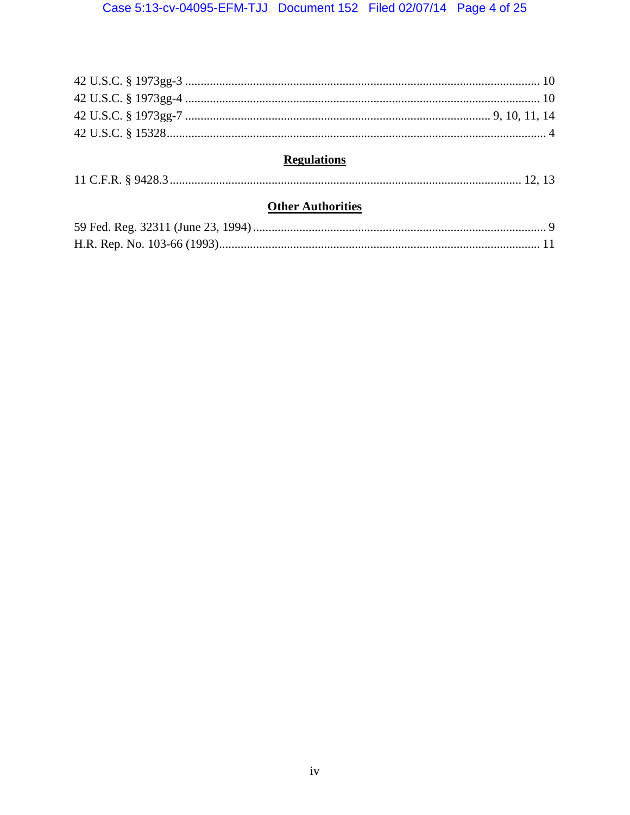| <b>Regulations</b> |  |
|--------------------|--|
|                    |  |

# **Other Authorities**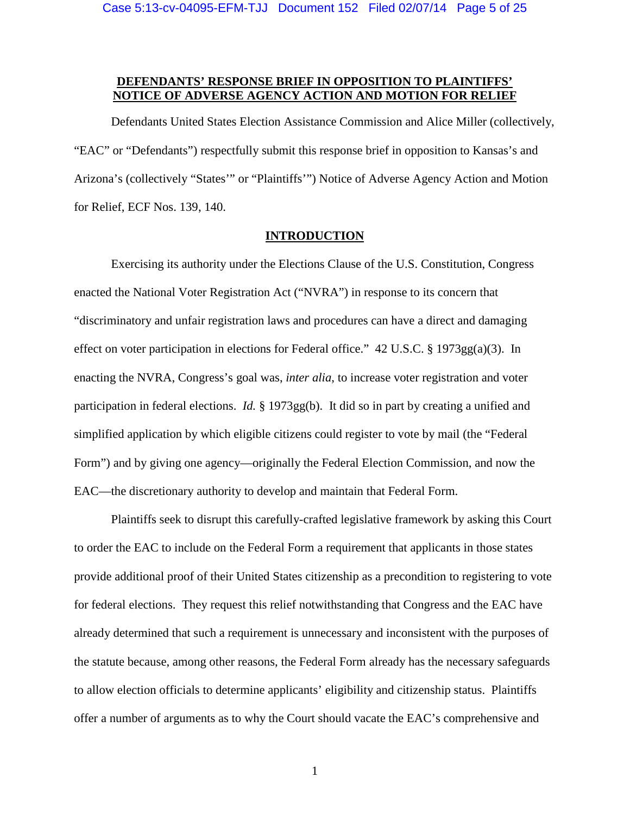## **DEFENDANTS' RESPONSE BRIEF IN OPPOSITION TO PLAINTIFFS' NOTICE OF ADVERSE AGENCY ACTION AND MOTION FOR RELIEF**

Defendants United States Election Assistance Commission and Alice Miller (collectively, "EAC" or "Defendants") respectfully submit this response brief in opposition to Kansas's and Arizona's (collectively "States'" or "Plaintiffs'") Notice of Adverse Agency Action and Motion for Relief, ECF Nos. 139, 140.

#### **INTRODUCTION**

<span id="page-4-0"></span>Exercising its authority under the Elections Clause of the U.S. Constitution, Congress enacted the National Voter Registration Act ("NVRA") in response to its concern that "discriminatory and unfair registration laws and procedures can have a direct and damaging effect on voter participation in elections for Federal office."  $42 \text{ U.S.C.}$  §  $1973gg(a)(3)$ . In enacting the NVRA, Congress's goal was, *inter alia*, to increase voter registration and voter participation in federal elections. *Id.* § 1973gg(b). It did so in part by creating a unified and simplified application by which eligible citizens could register to vote by mail (the "Federal Form") and by giving one agency—originally the Federal Election Commission, and now the EAC—the discretionary authority to develop and maintain that Federal Form.

Plaintiffs seek to disrupt this carefully-crafted legislative framework by asking this Court to order the EAC to include on the Federal Form a requirement that applicants in those states provide additional proof of their United States citizenship as a precondition to registering to vote for federal elections. They request this relief notwithstanding that Congress and the EAC have already determined that such a requirement is unnecessary and inconsistent with the purposes of the statute because, among other reasons, the Federal Form already has the necessary safeguards to allow election officials to determine applicants' eligibility and citizenship status. Plaintiffs offer a number of arguments as to why the Court should vacate the EAC's comprehensive and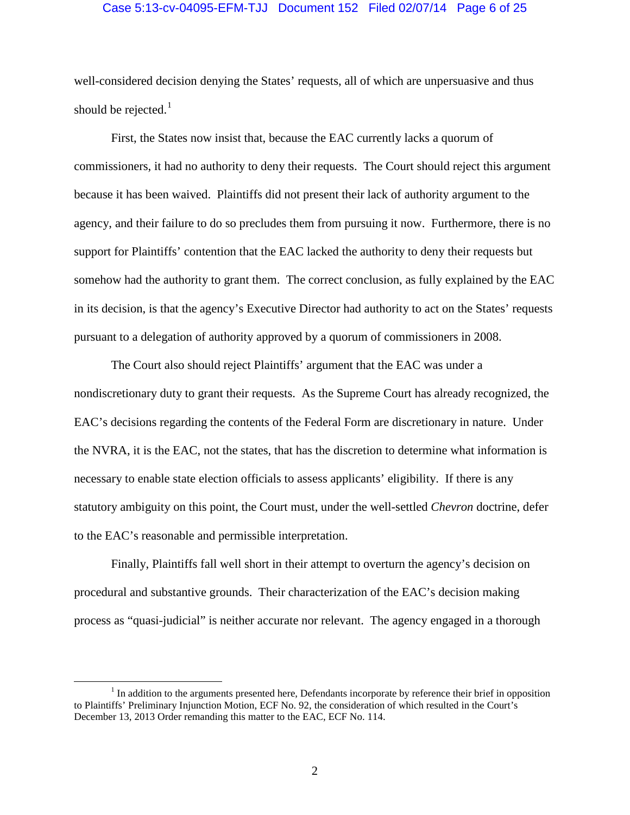#### Case 5:13-cv-04095-EFM-TJJ Document 152 Filed 02/07/14 Page 6 of 25

well-considered decision denying the States' requests, all of which are unpersuasive and thus should be rejected.<sup>[1](#page-5-0)</sup>

First, the States now insist that, because the EAC currently lacks a quorum of commissioners, it had no authority to deny their requests. The Court should reject this argument because it has been waived. Plaintiffs did not present their lack of authority argument to the agency, and their failure to do so precludes them from pursuing it now. Furthermore, there is no support for Plaintiffs' contention that the EAC lacked the authority to deny their requests but somehow had the authority to grant them. The correct conclusion, as fully explained by the EAC in its decision, is that the agency's Executive Director had authority to act on the States' requests pursuant to a delegation of authority approved by a quorum of commissioners in 2008.

The Court also should reject Plaintiffs' argument that the EAC was under a nondiscretionary duty to grant their requests. As the Supreme Court has already recognized, the EAC's decisions regarding the contents of the Federal Form are discretionary in nature. Under the NVRA, it is the EAC, not the states, that has the discretion to determine what information is necessary to enable state election officials to assess applicants' eligibility. If there is any statutory ambiguity on this point, the Court must, under the well-settled *Chevron* doctrine, defer to the EAC's reasonable and permissible interpretation.

Finally, Plaintiffs fall well short in their attempt to overturn the agency's decision on procedural and substantive grounds. Their characterization of the EAC's decision making process as "quasi-judicial" is neither accurate nor relevant. The agency engaged in a thorough

<span id="page-5-0"></span><sup>&</sup>lt;sup>1</sup> In addition to the arguments presented here, Defendants incorporate by reference their brief in opposition to Plaintiffs' Preliminary Injunction Motion, ECF No. 92, the consideration of which resulted in the Court's December 13, 2013 Order remanding this matter to the EAC, ECF No. 114.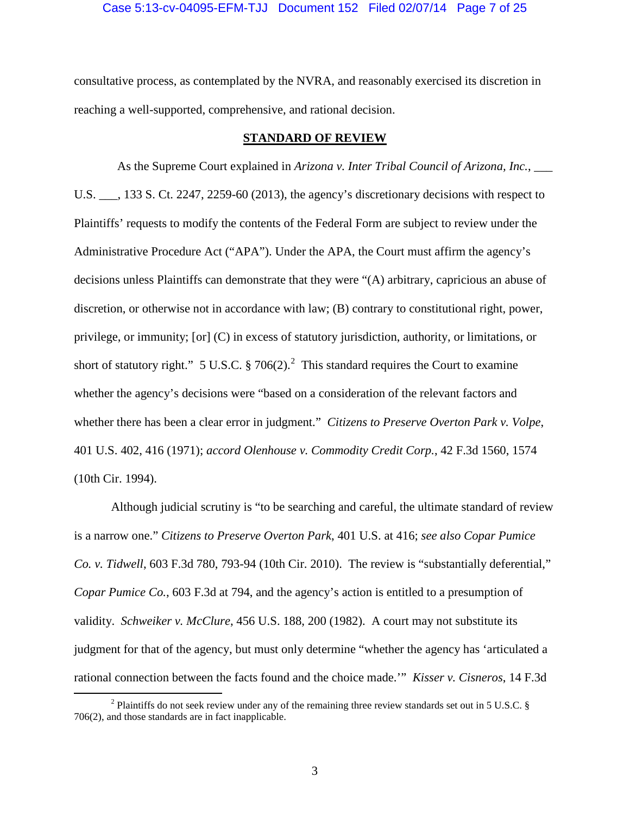consultative process, as contemplated by the NVRA, and reasonably exercised its discretion in reaching a well-supported, comprehensive, and rational decision.

## **STANDARD OF REVIEW**

<span id="page-6-0"></span>As the Supreme Court explained in *Arizona v. Inter Tribal Council of Arizona, Inc.*, U.S. \_\_\_, 133 S. Ct. 2247, 2259-60 (2013), the agency's discretionary decisions with respect to Plaintiffs' requests to modify the contents of the Federal Form are subject to review under the Administrative Procedure Act ("APA"). Under the APA, the Court must affirm the agency's decisions unless Plaintiffs can demonstrate that they were "(A) arbitrary, capricious an abuse of discretion, or otherwise not in accordance with law; (B) contrary to constitutional right, power, privilege, or immunity; [or] (C) in excess of statutory jurisdiction, authority, or limitations, or short of statutory right." 5 U.S.C. § 706([2](#page-6-1)).<sup>2</sup> This standard requires the Court to examine whether the agency's decisions were "based on a consideration of the relevant factors and whether there has been a clear error in judgment." *Citizens to Preserve Overton Park v. Volpe*, 401 U.S. 402, 416 (1971); *accord Olenhouse v. Commodity Credit Corp.*, 42 F.3d 1560, 1574 (10th Cir. 1994).

Although judicial scrutiny is "to be searching and careful, the ultimate standard of review is a narrow one." *Citizens to Preserve Overton Park*, 401 U.S. at 416; *see also Copar Pumice Co. v. Tidwell*, 603 F.3d 780, 793-94 (10th Cir. 2010). The review is "substantially deferential," *Copar Pumice Co.*, 603 F.3d at 794, and the agency's action is entitled to a presumption of validity. *Schweiker v. McClure*, 456 U.S. 188, 200 (1982). A court may not substitute its judgment for that of the agency, but must only determine "whether the agency has 'articulated a rational connection between the facts found and the choice made.'" *Kisser v. Cisneros*, 14 F.3d

<span id="page-6-1"></span><sup>&</sup>lt;sup>2</sup> Plaintiffs do not seek review under any of the remaining three review standards set out in 5 U.S.C. § 706(2), and those standards are in fact inapplicable.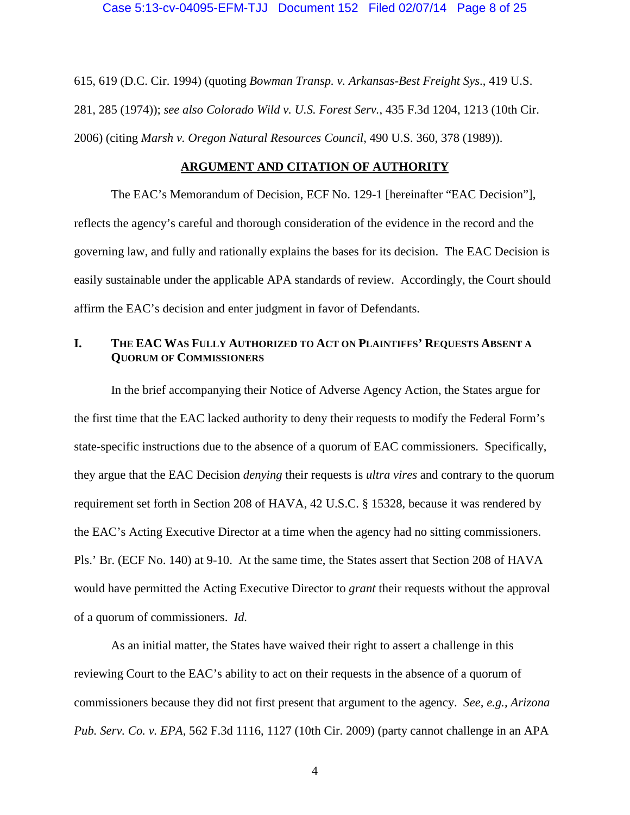615, 619 (D.C. Cir. 1994) (quoting *Bowman Transp. v. Arkansas-Best Freight Sys*., 419 U.S. 281, 285 (1974)); *see also Colorado Wild v. U.S. Forest Serv.*, 435 F.3d 1204, 1213 (10th Cir. 2006) (citing *Marsh v. Oregon Natural Resources Council*, 490 U.S. 360, 378 (1989)).

## **ARGUMENT AND CITATION OF AUTHORITY**

<span id="page-7-0"></span>The EAC's Memorandum of Decision, ECF No. 129-1 [hereinafter "EAC Decision"], reflects the agency's careful and thorough consideration of the evidence in the record and the governing law, and fully and rationally explains the bases for its decision. The EAC Decision is easily sustainable under the applicable APA standards of review. Accordingly, the Court should affirm the EAC's decision and enter judgment in favor of Defendants.

## <span id="page-7-1"></span>**I. THE EAC WAS FULLY AUTHORIZED TO ACT ON PLAINTIFFS' REQUESTS ABSENT A QUORUM OF COMMISSIONERS**

In the brief accompanying their Notice of Adverse Agency Action, the States argue for the first time that the EAC lacked authority to deny their requests to modify the Federal Form's state-specific instructions due to the absence of a quorum of EAC commissioners. Specifically, they argue that the EAC Decision *denying* their requests is *ultra vires* and contrary to the quorum requirement set forth in Section 208 of HAVA, 42 U.S.C. § 15328, because it was rendered by the EAC's Acting Executive Director at a time when the agency had no sitting commissioners. Pls.' Br. (ECF No. 140) at 9-10. At the same time, the States assert that Section 208 of HAVA would have permitted the Acting Executive Director to *grant* their requests without the approval of a quorum of commissioners. *Id.*

As an initial matter, the States have waived their right to assert a challenge in this reviewing Court to the EAC's ability to act on their requests in the absence of a quorum of commissioners because they did not first present that argument to the agency. *See, e.g., Arizona Pub. Serv. Co. v. EPA*, 562 F.3d 1116, 1127 (10th Cir. 2009) (party cannot challenge in an APA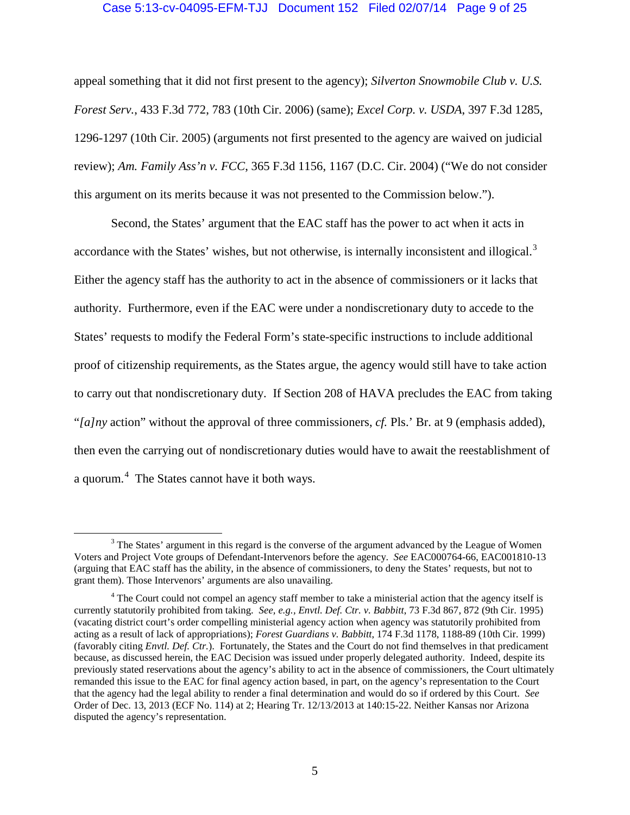### Case 5:13-cv-04095-EFM-TJJ Document 152 Filed 02/07/14 Page 9 of 25

appeal something that it did not first present to the agency); *Silverton Snowmobile Club v. U.S. Forest Serv.*, 433 F.3d 772, 783 (10th Cir. 2006) (same); *Excel Corp. v. USDA*, 397 F.3d 1285, 1296-1297 (10th Cir. 2005) (arguments not first presented to the agency are waived on judicial review); *Am. Family Ass'n v. FCC*, 365 F.3d 1156, 1167 (D.C. Cir. 2004) ("We do not consider this argument on its merits because it was not presented to the Commission below.").

Second, the States' argument that the EAC staff has the power to act when it acts in accordance with the States' wishes, but not otherwise, is internally inconsistent and illogical.<sup>[3](#page-8-0)</sup> Either the agency staff has the authority to act in the absence of commissioners or it lacks that authority. Furthermore, even if the EAC were under a nondiscretionary duty to accede to the States' requests to modify the Federal Form's state-specific instructions to include additional proof of citizenship requirements, as the States argue, the agency would still have to take action to carry out that nondiscretionary duty. If Section 208 of HAVA precludes the EAC from taking "*[a]ny* action" without the approval of three commissioners, *cf.* Pls.' Br. at 9 (emphasis added), then even the carrying out of nondiscretionary duties would have to await the reestablishment of a quorum.<sup>[4](#page-8-1)</sup> The States cannot have it both ways.

<span id="page-8-0"></span><sup>&</sup>lt;sup>3</sup> The States' argument in this regard is the converse of the argument advanced by the League of Women Voters and Project Vote groups of Defendant-Intervenors before the agency. *See* EAC000764-66, EAC001810-13 (arguing that EAC staff has the ability, in the absence of commissioners, to deny the States' requests, but not to grant them). Those Intervenors' arguments are also unavailing.

<span id="page-8-1"></span><sup>&</sup>lt;sup>4</sup> The Court could not compel an agency staff member to take a ministerial action that the agency itself is currently statutorily prohibited from taking. *See, e.g., Envtl. Def. Ctr. v. Babbitt*, 73 F.3d 867, 872 (9th Cir. 1995) (vacating district court's order compelling ministerial agency action when agency was statutorily prohibited from acting as a result of lack of appropriations); *Forest Guardians v. Babbitt*, 174 F.3d 1178, 1188-89 (10th Cir. 1999) (favorably citing *Envtl. Def. Ctr.*). Fortunately, the States and the Court do not find themselves in that predicament because, as discussed herein, the EAC Decision was issued under properly delegated authority. Indeed, despite its previously stated reservations about the agency's ability to act in the absence of commissioners, the Court ultimately remanded this issue to the EAC for final agency action based, in part, on the agency's representation to the Court that the agency had the legal ability to render a final determination and would do so if ordered by this Court. *See* Order of Dec. 13, 2013 (ECF No. 114) at 2; Hearing Tr. 12/13/2013 at 140:15-22. Neither Kansas nor Arizona disputed the agency's representation.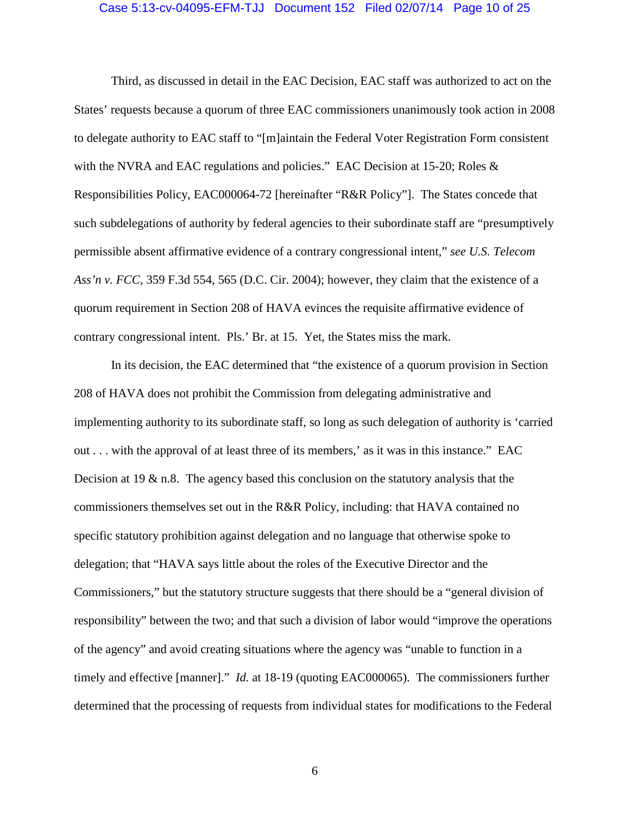#### Case 5:13-cv-04095-EFM-TJJ Document 152 Filed 02/07/14 Page 10 of 25

Third, as discussed in detail in the EAC Decision, EAC staff was authorized to act on the States' requests because a quorum of three EAC commissioners unanimously took action in 2008 to delegate authority to EAC staff to "[m]aintain the Federal Voter Registration Form consistent with the NVRA and EAC regulations and policies." EAC Decision at  $15-20$ ; Roles & Responsibilities Policy, EAC000064-72 [hereinafter "R&R Policy"]. The States concede that such subdelegations of authority by federal agencies to their subordinate staff are "presumptively permissible absent affirmative evidence of a contrary congressional intent," *see U.S. Telecom Ass'n v. FCC*, 359 F.3d 554, 565 (D.C. Cir. 2004); however, they claim that the existence of a quorum requirement in Section 208 of HAVA evinces the requisite affirmative evidence of contrary congressional intent. Pls.' Br. at 15. Yet, the States miss the mark.

In its decision, the EAC determined that "the existence of a quorum provision in Section 208 of HAVA does not prohibit the Commission from delegating administrative and implementing authority to its subordinate staff, so long as such delegation of authority is 'carried out . . . with the approval of at least three of its members,' as it was in this instance." EAC Decision at 19  $\&$  n.8. The agency based this conclusion on the statutory analysis that the commissioners themselves set out in the R&R Policy, including: that HAVA contained no specific statutory prohibition against delegation and no language that otherwise spoke to delegation; that "HAVA says little about the roles of the Executive Director and the Commissioners," but the statutory structure suggests that there should be a "general division of responsibility" between the two; and that such a division of labor would "improve the operations of the agency" and avoid creating situations where the agency was "unable to function in a timely and effective [manner]." *Id.* at 18-19 (quoting EAC000065). The commissioners further determined that the processing of requests from individual states for modifications to the Federal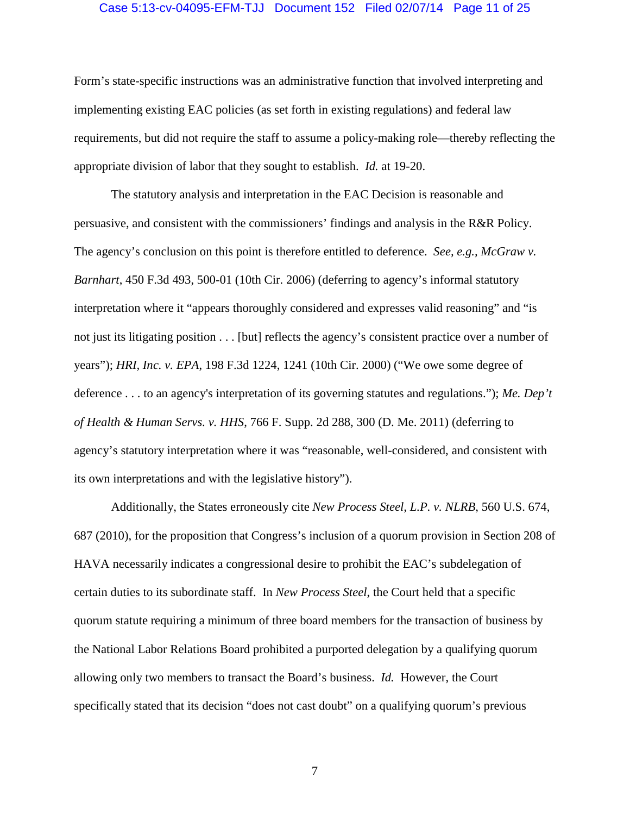#### Case 5:13-cv-04095-EFM-TJJ Document 152 Filed 02/07/14 Page 11 of 25

Form's state-specific instructions was an administrative function that involved interpreting and implementing existing EAC policies (as set forth in existing regulations) and federal law requirements, but did not require the staff to assume a policy-making role—thereby reflecting the appropriate division of labor that they sought to establish. *Id.* at 19-20.

The statutory analysis and interpretation in the EAC Decision is reasonable and persuasive, and consistent with the commissioners' findings and analysis in the R&R Policy. The agency's conclusion on this point is therefore entitled to deference. *See, e.g., McGraw v. Barnhart*, 450 F.3d 493, 500-01 (10th Cir. 2006) (deferring to agency's informal statutory interpretation where it "appears thoroughly considered and expresses valid reasoning" and "is not just its litigating position . . . [but] reflects the agency's consistent practice over a number of years"); *HRI, Inc. v. EPA*, 198 F.3d 1224, 1241 (10th Cir. 2000) ("We owe some degree of deference . . . to an agency's interpretation of its governing statutes and regulations."); *Me. Dep't of Health & Human Servs. v. HHS*, 766 F. Supp. 2d 288, 300 (D. Me. 2011) (deferring to agency's statutory interpretation where it was "reasonable, well-considered, and consistent with its own interpretations and with the legislative history").

Additionally, the States erroneously cite *New Process Steel, L.P. v. NLRB*, 560 U.S. 674, 687 (2010), for the proposition that Congress's inclusion of a quorum provision in Section 208 of HAVA necessarily indicates a congressional desire to prohibit the EAC's subdelegation of certain duties to its subordinate staff. In *New Process Steel*, the Court held that a specific quorum statute requiring a minimum of three board members for the transaction of business by the National Labor Relations Board prohibited a purported delegation by a qualifying quorum allowing only two members to transact the Board's business. *Id.* However, the Court specifically stated that its decision "does not cast doubt" on a qualifying quorum's previous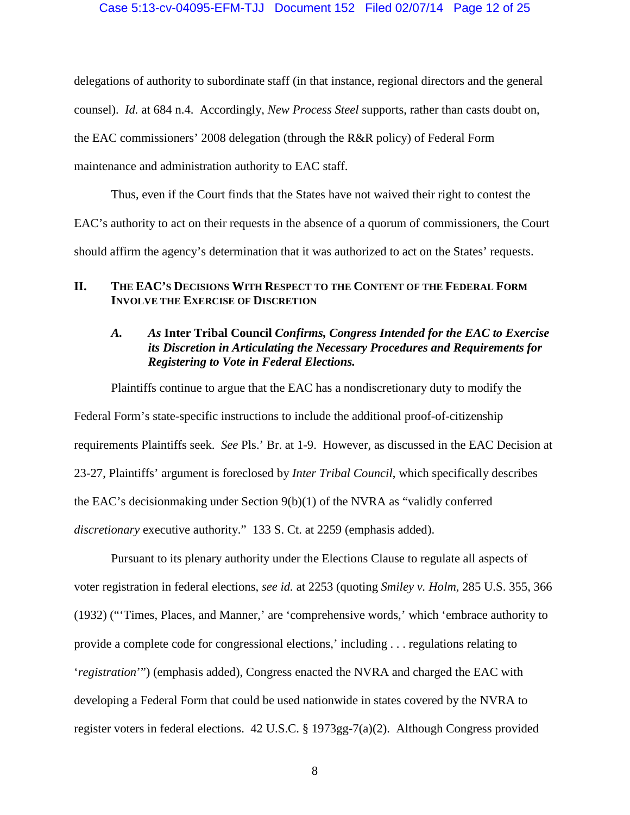#### Case 5:13-cv-04095-EFM-TJJ Document 152 Filed 02/07/14 Page 12 of 25

delegations of authority to subordinate staff (in that instance, regional directors and the general counsel). *Id.* at 684 n.4. Accordingly, *New Process Steel* supports, rather than casts doubt on, the EAC commissioners' 2008 delegation (through the R&R policy) of Federal Form maintenance and administration authority to EAC staff.

Thus, even if the Court finds that the States have not waived their right to contest the EAC's authority to act on their requests in the absence of a quorum of commissioners, the Court should affirm the agency's determination that it was authorized to act on the States' requests.

## <span id="page-11-0"></span>**II. THE EAC'S DECISIONS WITH RESPECT TO THE CONTENT OF THE FEDERAL FORM INVOLVE THE EXERCISE OF DISCRETION**

# <span id="page-11-1"></span>*A. As* **Inter Tribal Council** *Confirms, Congress Intended for the EAC to Exercise its Discretion in Articulating the Necessary Procedures and Requirements for Registering to Vote in Federal Elections.*

Plaintiffs continue to argue that the EAC has a nondiscretionary duty to modify the Federal Form's state-specific instructions to include the additional proof-of-citizenship requirements Plaintiffs seek. *See* Pls.' Br. at 1-9. However, as discussed in the EAC Decision at 23-27, Plaintiffs' argument is foreclosed by *Inter Tribal Council*, which specifically describes the EAC's decisionmaking under Section 9(b)(1) of the NVRA as "validly conferred *discretionary* executive authority." 133 S. Ct. at 2259 (emphasis added).

Pursuant to its plenary authority under the Elections Clause to regulate all aspects of voter registration in federal elections, *see id.* at 2253 (quoting *Smiley v. Holm,* 285 U.S. 355, 366 (1932) ("'Times, Places, and Manner,' are 'comprehensive words,' which 'embrace authority to provide a complete code for congressional elections,' including . . . regulations relating to '*registration*'") (emphasis added), Congress enacted the NVRA and charged the EAC with developing a Federal Form that could be used nationwide in states covered by the NVRA to register voters in federal elections. 42 U.S.C. § 1973gg-7(a)(2). Although Congress provided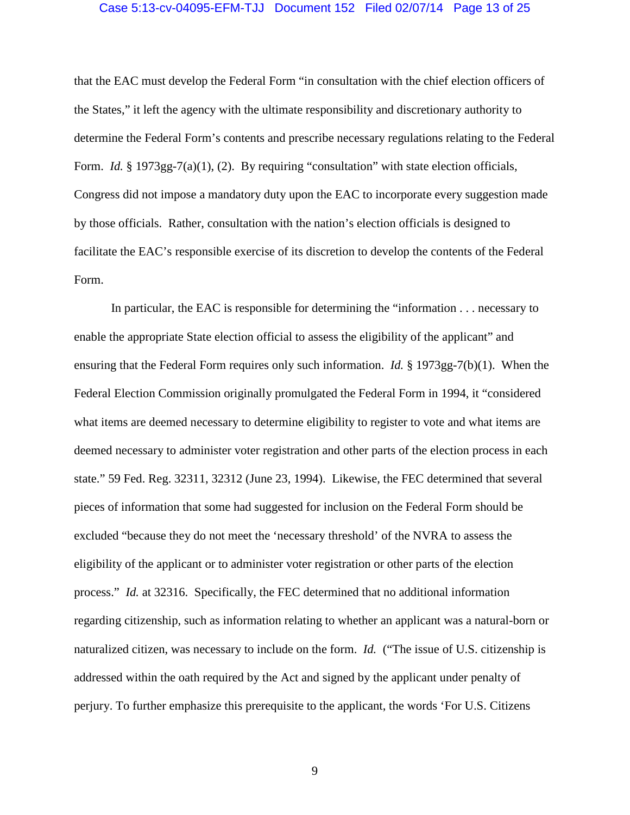#### Case 5:13-cv-04095-EFM-TJJ Document 152 Filed 02/07/14 Page 13 of 25

that the EAC must develop the Federal Form "in consultation with the chief election officers of the States," it left the agency with the ultimate responsibility and discretionary authority to determine the Federal Form's contents and prescribe necessary regulations relating to the Federal Form. *Id.* § 1973gg-7(a)(1), (2). By requiring "consultation" with state election officials, Congress did not impose a mandatory duty upon the EAC to incorporate every suggestion made by those officials. Rather, consultation with the nation's election officials is designed to facilitate the EAC's responsible exercise of its discretion to develop the contents of the Federal Form.

In particular, the EAC is responsible for determining the "information . . . necessary to enable the appropriate State election official to assess the eligibility of the applicant" and ensuring that the Federal Form requires only such information. *Id.* § 1973gg-7(b)(1). When the Federal Election Commission originally promulgated the Federal Form in 1994, it "considered what items are deemed necessary to determine eligibility to register to vote and what items are deemed necessary to administer voter registration and other parts of the election process in each state." 59 Fed. Reg. 32311, 32312 (June 23, 1994). Likewise, the FEC determined that several pieces of information that some had suggested for inclusion on the Federal Form should be excluded "because they do not meet the 'necessary threshold' of the NVRA to assess the eligibility of the applicant or to administer voter registration or other parts of the election process." *Id.* at 32316. Specifically, the FEC determined that no additional information regarding citizenship, such as information relating to whether an applicant was a natural-born or naturalized citizen, was necessary to include on the form. *Id.* ("The issue of U.S. citizenship is addressed within the oath required by the Act and signed by the applicant under penalty of perjury. To further emphasize this prerequisite to the applicant, the words 'For U.S. Citizens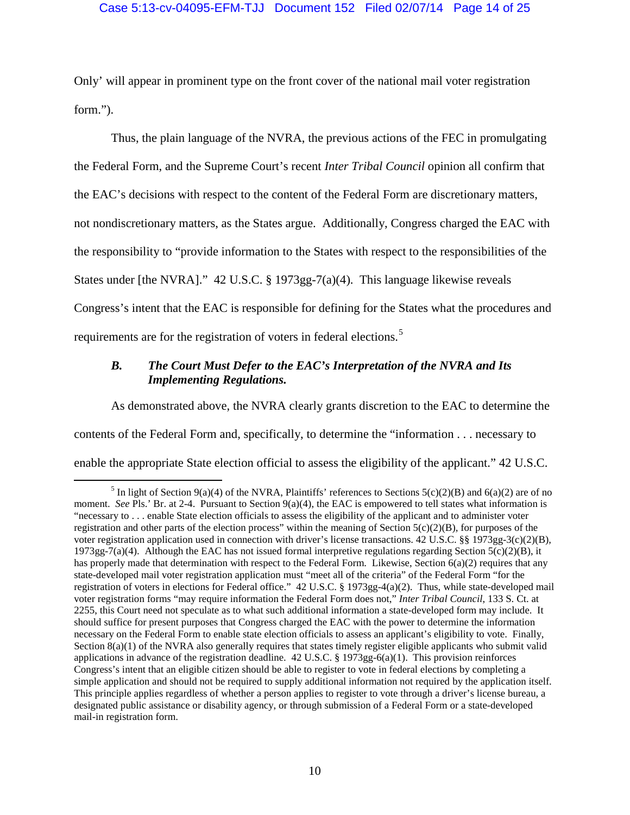## Case 5:13-cv-04095-EFM-TJJ Document 152 Filed 02/07/14 Page 14 of 25

Only' will appear in prominent type on the front cover of the national mail voter registration form.").

Thus, the plain language of the NVRA, the previous actions of the FEC in promulgating the Federal Form, and the Supreme Court's recent *Inter Tribal Council* opinion all confirm that the EAC's decisions with respect to the content of the Federal Form are discretionary matters, not nondiscretionary matters, as the States argue. Additionally, Congress charged the EAC with the responsibility to "provide information to the States with respect to the responsibilities of the States under [the NVRA]." 42 U.S.C. § 1973gg-7(a)(4). This language likewise reveals Congress's intent that the EAC is responsible for defining for the States what the procedures and requirements are for the registration of voters in federal elections.<sup>[5](#page-13-1)</sup>

# <span id="page-13-0"></span>*B. The Court Must Defer to the EAC's Interpretation of the NVRA and Its Implementing Regulations.*

As demonstrated above, the NVRA clearly grants discretion to the EAC to determine the contents of the Federal Form and, specifically, to determine the "information . . . necessary to enable the appropriate State election official to assess the eligibility of the applicant." 42 U.S.C.

<span id="page-13-1"></span><sup>&</sup>lt;sup>5</sup> In light of Section 9(a)(4) of the NVRA, Plaintiffs' references to Sections  $5(c)(2)(B)$  and  $6(a)(2)$  are of no moment. *See* Pls.' Br. at 2-4. Pursuant to Section  $9(a)(4)$ , the EAC is empowered to tell states what information is "necessary to . . . enable State election officials to assess the eligibility of the applicant and to administer voter registration and other parts of the election process" within the meaning of Section  $5(c)(2)(B)$ , for purposes of the voter registration application used in connection with driver's license transactions. 42 U.S.C. §§ 1973gg-3(c)(2)(B),  $1973gg-7(a)(4)$ . Although the EAC has not issued formal interpretive regulations regarding Section  $5(c)(2)(B)$ , it has properly made that determination with respect to the Federal Form. Likewise, Section 6(a)(2) requires that any state-developed mail voter registration application must "meet all of the criteria" of the Federal Form "for the registration of voters in elections for Federal office." 42 U.S.C. § 1973gg-4(a)(2). Thus, while state-developed mail voter registration forms "may require information the Federal Form does not," *Inter Tribal Council*, 133 S. Ct. at 2255, this Court need not speculate as to what such additional information a state-developed form may include. It should suffice for present purposes that Congress charged the EAC with the power to determine the information necessary on the Federal Form to enable state election officials to assess an applicant's eligibility to vote. Finally, Section 8(a)(1) of the NVRA also generally requires that states timely register eligible applicants who submit valid applications in advance of the registration deadline.  $42$  U.S.C. § 1973gg-6(a)(1). This provision reinforces Congress's intent that an eligible citizen should be able to register to vote in federal elections by completing a simple application and should not be required to supply additional information not required by the application itself. This principle applies regardless of whether a person applies to register to vote through a driver's license bureau, a designated public assistance or disability agency, or through submission of a Federal Form or a state-developed mail-in registration form.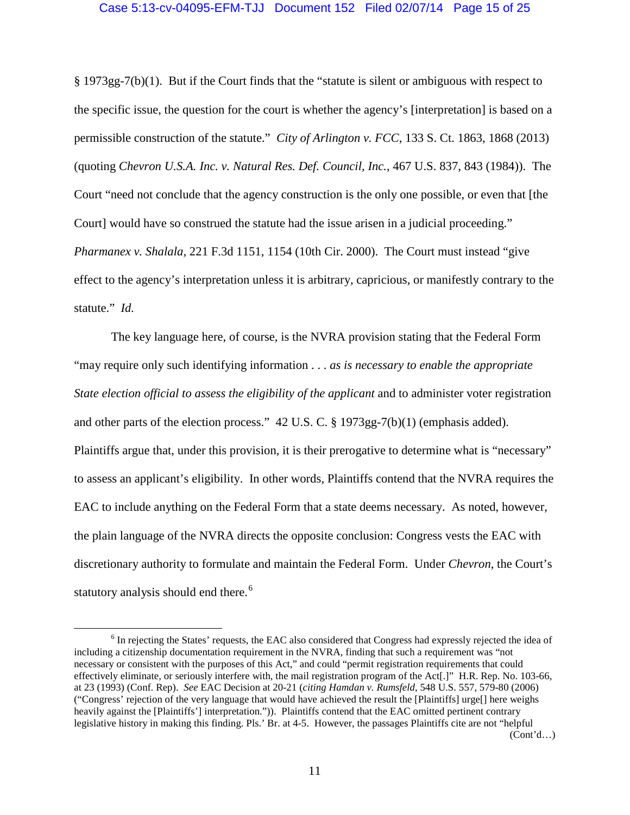## Case 5:13-cv-04095-EFM-TJJ Document 152 Filed 02/07/14 Page 15 of 25

§ 1973gg-7(b)(1). But if the Court finds that the "statute is silent or ambiguous with respect to the specific issue, the question for the court is whether the agency's [interpretation] is based on a permissible construction of the statute." *City of Arlington v. FCC*, 133 S. Ct. 1863, 1868 (2013) (quoting *Chevron U.S.A. Inc. v. Natural Res. Def. Council, Inc.*, 467 U.S. 837, 843 (1984)). The Court "need not conclude that the agency construction is the only one possible, or even that [the Court] would have so construed the statute had the issue arisen in a judicial proceeding." *Pharmanex v. Shalala,* 221 F.3d 1151, 1154 (10th Cir. 2000). The Court must instead "give effect to the agency's interpretation unless it is arbitrary, capricious, or manifestly contrary to the statute." *Id.*

The key language here, of course, is the NVRA provision stating that the Federal Form "may require only such identifying information . . . *as is necessary to enable the appropriate State election official to assess the eligibility of the applicant* and to administer voter registration and other parts of the election process." 42 U.S. C. § 1973gg-7(b)(1) (emphasis added). Plaintiffs argue that, under this provision, it is their prerogative to determine what is "necessary" to assess an applicant's eligibility. In other words, Plaintiffs contend that the NVRA requires the EAC to include anything on the Federal Form that a state deems necessary. As noted, however, the plain language of the NVRA directs the opposite conclusion: Congress vests the EAC with discretionary authority to formulate and maintain the Federal Form. Under *Chevron*, the Court's statutory analysis should end there.<sup>[6](#page-14-0)</sup>

<span id="page-14-0"></span><sup>&</sup>lt;sup>6</sup> In rejecting the States' requests, the EAC also considered that Congress had expressly rejected the idea of including a citizenship documentation requirement in the NVRA, finding that such a requirement was "not necessary or consistent with the purposes of this Act," and could "permit registration requirements that could effectively eliminate, or seriously interfere with, the mail registration program of the Act[.]" H.R. Rep. No. 103-66, at 23 (1993) (Conf. Rep). *See* EAC Decision at 20-21 (*citing Hamdan v. Rumsfeld*, 548 U.S. 557, 579-80 (2006) ("Congress' rejection of the very language that would have achieved the result the [Plaintiffs] urge[] here weighs heavily against the [Plaintiffs'] interpretation.")). Plaintiffs contend that the EAC omitted pertinent contrary legislative history in making this finding. Pls.' Br. at 4-5. However, the passages Plaintiffs cite are not "helpful (Cont'd…)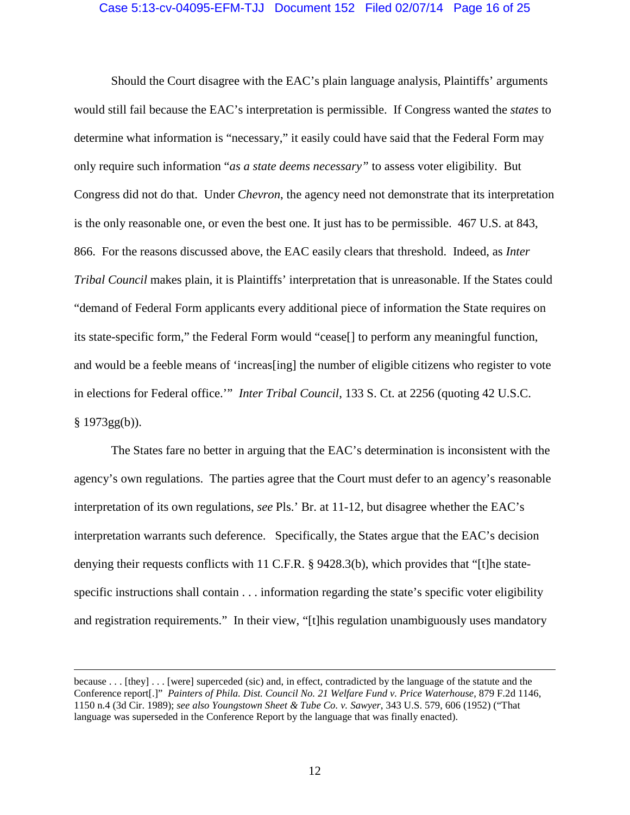## Case 5:13-cv-04095-EFM-TJJ Document 152 Filed 02/07/14 Page 16 of 25

Should the Court disagree with the EAC's plain language analysis, Plaintiffs' arguments would still fail because the EAC's interpretation is permissible. If Congress wanted the *states* to determine what information is "necessary," it easily could have said that the Federal Form may only require such information "*as a state deems necessary"* to assess voter eligibility. But Congress did not do that. Under *Chevron*, the agency need not demonstrate that its interpretation is the only reasonable one, or even the best one. It just has to be permissible. [467 U.S.](http://en.wikipedia.org/wiki/United_States_Reports) at 843, 866. For the reasons discussed above, the EAC easily clears that threshold. Indeed, as *Inter Tribal Council* makes plain, it is Plaintiffs' interpretation that is unreasonable. If the States could "demand of Federal Form applicants every additional piece of information the State requires on its state-specific form," the Federal Form would "cease[] to perform any meaningful function, and would be a feeble means of 'increas[ing] the number of eligible citizens who register to vote in elections for Federal office.'" *Inter Tribal Council*, 133 S. Ct. at 2256 (quoting 42 U.S.C. § 1973gg(b)).

The States fare no better in arguing that the EAC's determination is inconsistent with the agency's own regulations. The parties agree that the Court must defer to an agency's reasonable interpretation of its own regulations, *see* Pls.' Br. at 11-12, but disagree whether the EAC's interpretation warrants such deference. Specifically, the States argue that the EAC's decision denying their requests conflicts with 11 C.F.R. § 9428.3(b), which provides that "[t]he statespecific instructions shall contain . . . information regarding the state's specific voter eligibility and registration requirements." In their view, "[t]his regulation unambiguously uses mandatory

because . . . [they] . . . [were] superceded (sic) and, in effect, contradicted by the language of the statute and the Conference report[.]" *Painters of Phila. Dist. Council No. 21 Welfare Fund v. Price Waterhouse*, 879 F.2d 1146, 1150 n.4 (3d Cir. 1989); *see also Youngstown Sheet & Tube Co. v. Sawyer*, 343 U.S. 579, 606 (1952) ("That language was superseded in the Conference Report by the language that was finally enacted).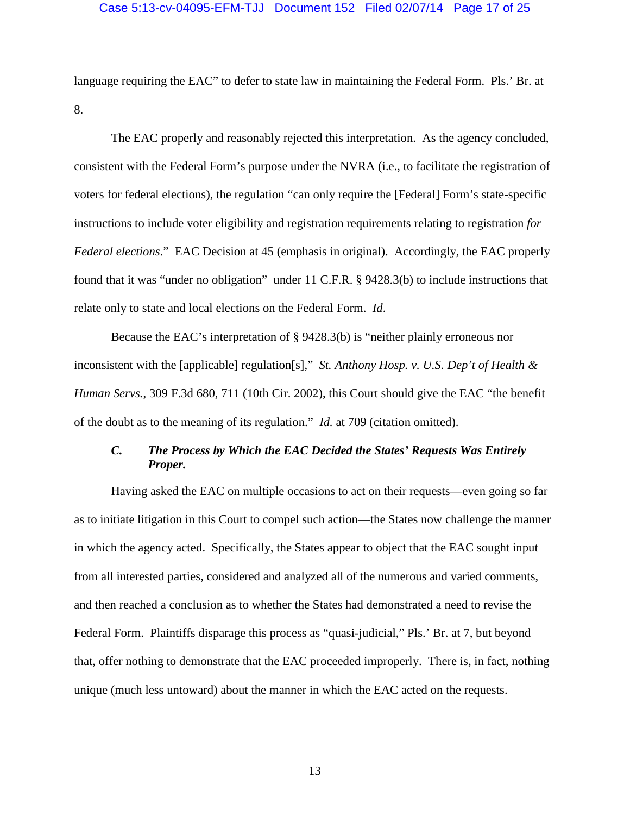## Case 5:13-cv-04095-EFM-TJJ Document 152 Filed 02/07/14 Page 17 of 25

language requiring the EAC" to defer to state law in maintaining the Federal Form. Pls.' Br. at 8.

The EAC properly and reasonably rejected this interpretation. As the agency concluded, consistent with the Federal Form's purpose under the NVRA (i.e., to facilitate the registration of voters for federal elections), the regulation "can only require the [Federal] Form's state-specific instructions to include voter eligibility and registration requirements relating to registration *for Federal elections*." EAC Decision at 45 (emphasis in original). Accordingly, the EAC properly found that it was "under no obligation" under 11 C.F.R. § 9428.3(b) to include instructions that relate only to state and local elections on the Federal Form. *Id*.

Because the EAC's interpretation of § 9428.3(b) is "neither plainly erroneous nor inconsistent with the [applicable] regulation[s]," *St. Anthony Hosp. v. U.S. Dep't of Health & Human Servs.*, 309 F.3d 680, 711 (10th Cir. 2002), this Court should give the EAC "the benefit of the doubt as to the meaning of its regulation." *Id.* at 709 (citation omitted).

# <span id="page-16-0"></span>*C. The Process by Which the EAC Decided the States' Requests Was Entirely Proper.*

Having asked the EAC on multiple occasions to act on their requests—even going so far as to initiate litigation in this Court to compel such action—the States now challenge the manner in which the agency acted. Specifically, the States appear to object that the EAC sought input from all interested parties, considered and analyzed all of the numerous and varied comments, and then reached a conclusion as to whether the States had demonstrated a need to revise the Federal Form. Plaintiffs disparage this process as "quasi-judicial," Pls.' Br. at 7, but beyond that, offer nothing to demonstrate that the EAC proceeded improperly. There is, in fact, nothing unique (much less untoward) about the manner in which the EAC acted on the requests.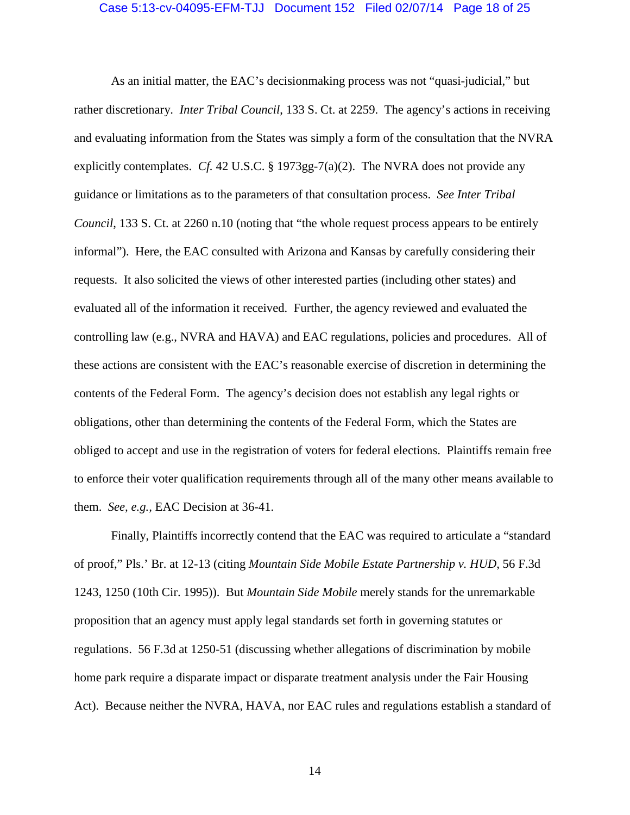#### Case 5:13-cv-04095-EFM-TJJ Document 152 Filed 02/07/14 Page 18 of 25

As an initial matter, the EAC's decisionmaking process was not "quasi-judicial," but rather discretionary. *Inter Tribal Council*, 133 S. Ct. at 2259. The agency's actions in receiving and evaluating information from the States was simply a form of the consultation that the NVRA explicitly contemplates. *Cf.* 42 U.S.C. § 1973gg-7(a)(2). The NVRA does not provide any guidance or limitations as to the parameters of that consultation process. *See Inter Tribal Council*, 133 S. Ct. at 2260 n.10 (noting that "the whole request process appears to be entirely informal"). Here, the EAC consulted with Arizona and Kansas by carefully considering their requests. It also solicited the views of other interested parties (including other states) and evaluated all of the information it received. Further, the agency reviewed and evaluated the controlling law (e.g., NVRA and HAVA) and EAC regulations, policies and procedures. All of these actions are consistent with the EAC's reasonable exercise of discretion in determining the contents of the Federal Form. The agency's decision does not establish any legal rights or obligations, other than determining the contents of the Federal Form, which the States are obliged to accept and use in the registration of voters for federal elections. Plaintiffs remain free to enforce their voter qualification requirements through all of the many other means available to them. *See, e.g.,* EAC Decision at 36-41.

Finally, Plaintiffs incorrectly contend that the EAC was required to articulate a "standard of proof," Pls.' Br. at 12-13 (citing *Mountain Side Mobile Estate Partnership v. HUD*, 56 F.3d 1243, 1250 (10th Cir. 1995)). But *Mountain Side Mobile* merely stands for the unremarkable proposition that an agency must apply legal standards set forth in governing statutes or regulations. 56 F.3d at 1250-51 (discussing whether allegations of discrimination by mobile home park require a disparate impact or disparate treatment analysis under the Fair Housing Act). Because neither the NVRA, HAVA, nor EAC rules and regulations establish a standard of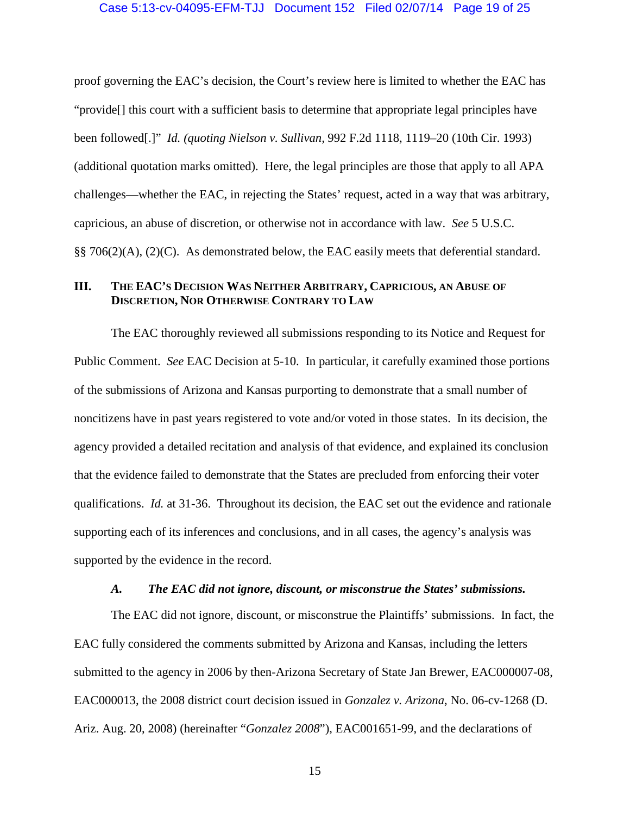### Case 5:13-cv-04095-EFM-TJJ Document 152 Filed 02/07/14 Page 19 of 25

proof governing the EAC's decision, the Court's review here is limited to whether the EAC has "provide[] this court with a sufficient basis to determine that appropriate legal principles have been followed[.]" *Id. (quoting Nielson v. Sullivan,* 992 F.2d 1118, 1119–20 (10th Cir. 1993) (additional quotation marks omitted). Here, the legal principles are those that apply to all APA challenges—whether the EAC, in rejecting the States' request, acted in a way that was arbitrary, capricious, an abuse of discretion, or otherwise not in accordance with law. *See* 5 U.S.C. §§ 706(2)(A), (2)(C). As demonstrated below, the EAC easily meets that deferential standard.

## <span id="page-18-0"></span>**III. THE EAC'S DECISION WAS NEITHER ARBITRARY, CAPRICIOUS, AN ABUSE OF DISCRETION, NOR OTHERWISE CONTRARY TO LAW**

The EAC thoroughly reviewed all submissions responding to its Notice and Request for Public Comment. *See* EAC Decision at 5-10. In particular, it carefully examined those portions of the submissions of Arizona and Kansas purporting to demonstrate that a small number of noncitizens have in past years registered to vote and/or voted in those states. In its decision, the agency provided a detailed recitation and analysis of that evidence, and explained its conclusion that the evidence failed to demonstrate that the States are precluded from enforcing their voter qualifications. *Id.* at 31-36. Throughout its decision, the EAC set out the evidence and rationale supporting each of its inferences and conclusions, and in all cases, the agency's analysis was supported by the evidence in the record.

# *A. The EAC did not ignore, discount, or misconstrue the States' submissions.*

<span id="page-18-1"></span>The EAC did not ignore, discount, or misconstrue the Plaintiffs' submissions. In fact, the EAC fully considered the comments submitted by Arizona and Kansas, including the letters submitted to the agency in 2006 by then-Arizona Secretary of State Jan Brewer, EAC000007-08, EAC000013, the 2008 district court decision issued in *Gonzalez v. Arizona*, No. 06-cv-1268 (D. Ariz. Aug. 20, 2008) (hereinafter "*Gonzalez 2008*"), EAC001651-99, and the declarations of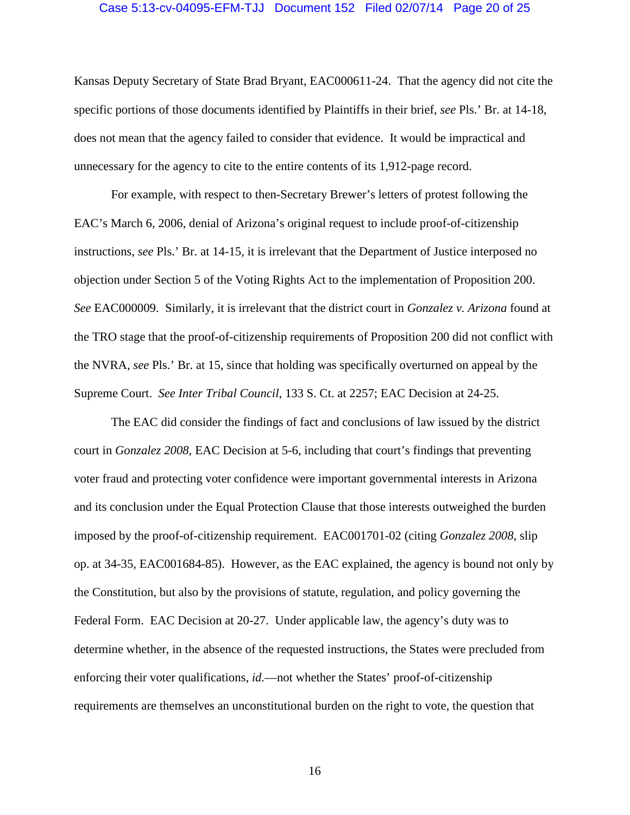#### Case 5:13-cv-04095-EFM-TJJ Document 152 Filed 02/07/14 Page 20 of 25

Kansas Deputy Secretary of State Brad Bryant, EAC000611-24. That the agency did not cite the specific portions of those documents identified by Plaintiffs in their brief, *see* Pls.' Br. at 14-18, does not mean that the agency failed to consider that evidence. It would be impractical and unnecessary for the agency to cite to the entire contents of its 1,912-page record.

For example, with respect to then-Secretary Brewer's letters of protest following the EAC's March 6, 2006, denial of Arizona's original request to include proof-of-citizenship instructions, *see* Pls.' Br. at 14-15, it is irrelevant that the Department of Justice interposed no objection under Section 5 of the Voting Rights Act to the implementation of Proposition 200. *See* EAC000009. Similarly, it is irrelevant that the district court in *Gonzalez v. Arizona* found at the TRO stage that the proof-of-citizenship requirements of Proposition 200 did not conflict with the NVRA, *see* Pls.' Br. at 15, since that holding was specifically overturned on appeal by the Supreme Court. *See Inter Tribal Council*, 133 S. Ct. at 2257; EAC Decision at 24-25.

The EAC did consider the findings of fact and conclusions of law issued by the district court in *Gonzalez 2008*, EAC Decision at 5-6, including that court's findings that preventing voter fraud and protecting voter confidence were important governmental interests in Arizona and its conclusion under the Equal Protection Clause that those interests outweighed the burden imposed by the proof-of-citizenship requirement. EAC001701-02 (citing *Gonzalez 2008*, slip op. at 34-35, EAC001684-85). However, as the EAC explained, the agency is bound not only by the Constitution, but also by the provisions of statute, regulation, and policy governing the Federal Form. EAC Decision at 20-27. Under applicable law, the agency's duty was to determine whether, in the absence of the requested instructions, the States were precluded from enforcing their voter qualifications, *id.*—not whether the States' proof-of-citizenship requirements are themselves an unconstitutional burden on the right to vote, the question that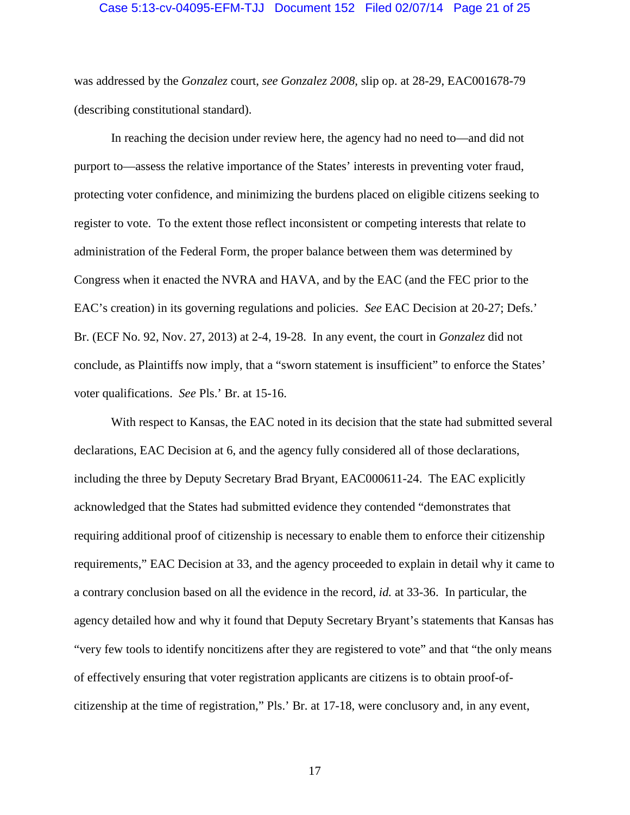#### Case 5:13-cv-04095-EFM-TJJ Document 152 Filed 02/07/14 Page 21 of 25

was addressed by the *Gonzalez* court, *see Gonzalez 2008*, slip op. at 28-29, EAC001678-79 (describing constitutional standard).

In reaching the decision under review here, the agency had no need to—and did not purport to—assess the relative importance of the States' interests in preventing voter fraud, protecting voter confidence, and minimizing the burdens placed on eligible citizens seeking to register to vote. To the extent those reflect inconsistent or competing interests that relate to administration of the Federal Form, the proper balance between them was determined by Congress when it enacted the NVRA and HAVA, and by the EAC (and the FEC prior to the EAC's creation) in its governing regulations and policies. *See* EAC Decision at 20-27; Defs.' Br. (ECF No. 92, Nov. 27, 2013) at 2-4, 19-28. In any event, the court in *Gonzalez* did not conclude, as Plaintiffs now imply, that a "sworn statement is insufficient" to enforce the States' voter qualifications. *See* Pls.' Br. at 15-16.

With respect to Kansas, the EAC noted in its decision that the state had submitted several declarations, EAC Decision at 6, and the agency fully considered all of those declarations, including the three by Deputy Secretary Brad Bryant, EAC000611-24. The EAC explicitly acknowledged that the States had submitted evidence they contended "demonstrates that requiring additional proof of citizenship is necessary to enable them to enforce their citizenship requirements," EAC Decision at 33, and the agency proceeded to explain in detail why it came to a contrary conclusion based on all the evidence in the record, *id.* at 33-36. In particular, the agency detailed how and why it found that Deputy Secretary Bryant's statements that Kansas has "very few tools to identify noncitizens after they are registered to vote" and that "the only means of effectively ensuring that voter registration applicants are citizens is to obtain proof-ofcitizenship at the time of registration," Pls.' Br. at 17-18, were conclusory and, in any event,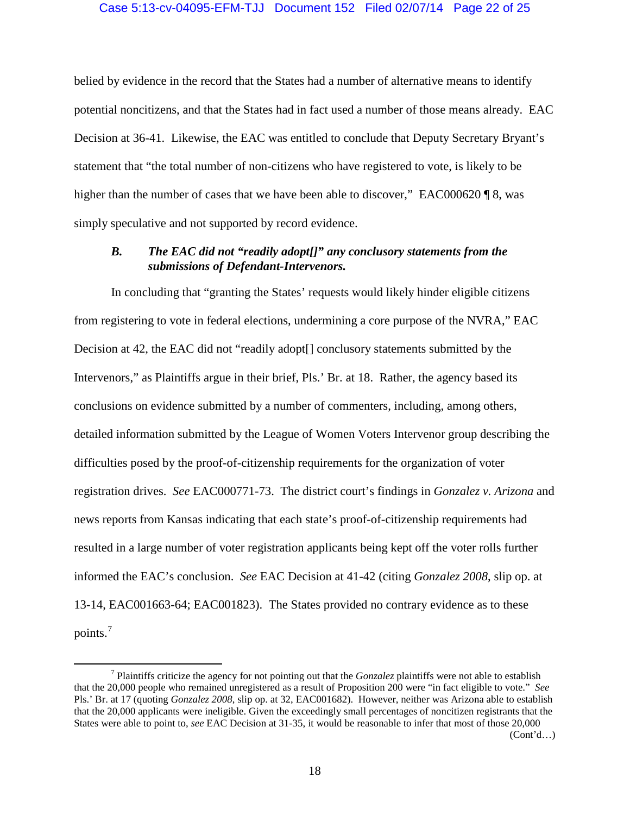## Case 5:13-cv-04095-EFM-TJJ Document 152 Filed 02/07/14 Page 22 of 25

belied by evidence in the record that the States had a number of alternative means to identify potential noncitizens, and that the States had in fact used a number of those means already. EAC Decision at 36-41. Likewise, the EAC was entitled to conclude that Deputy Secretary Bryant's statement that "the total number of non-citizens who have registered to vote, is likely to be higher than the number of cases that we have been able to discover," EAC000620 \, 8, was simply speculative and not supported by record evidence.

## <span id="page-21-0"></span>*B. The EAC did not "readily adopt[]" any conclusory statements from the submissions of Defendant-Intervenors.*

In concluding that "granting the States' requests would likely hinder eligible citizens from registering to vote in federal elections, undermining a core purpose of the NVRA," EAC Decision at 42, the EAC did not "readily adopt[] conclusory statements submitted by the Intervenors," as Plaintiffs argue in their brief, Pls.' Br. at 18. Rather, the agency based its conclusions on evidence submitted by a number of commenters, including, among others, detailed information submitted by the League of Women Voters Intervenor group describing the difficulties posed by the proof-of-citizenship requirements for the organization of voter registration drives. *See* EAC000771-73. The district court's findings in *Gonzalez v. Arizona* and news reports from Kansas indicating that each state's proof-of-citizenship requirements had resulted in a large number of voter registration applicants being kept off the voter rolls further informed the EAC's conclusion. *See* EAC Decision at 41-42 (citing *Gonzalez 2008*, slip op. at 13-14, EAC001663-64; EAC001823). The States provided no contrary evidence as to these points.<sup>[7](#page-21-1)</sup>

 $(Cont<sup>1</sup>d...)$ 

<span id="page-21-1"></span> <sup>7</sup> Plaintiffs criticize the agency for not pointing out that the *Gonzalez* plaintiffs were not able to establish that the 20,000 people who remained unregistered as a result of Proposition 200 were "in fact eligible to vote." *See*  Pls.' Br. at 17 (quoting *Gonzalez 2008*, slip op. at 32, EAC001682). However, neither was Arizona able to establish that the 20,000 applicants were ineligible. Given the exceedingly small percentages of noncitizen registrants that the States were able to point to, *see* EAC Decision at 31-35, it would be reasonable to infer that most of those 20,000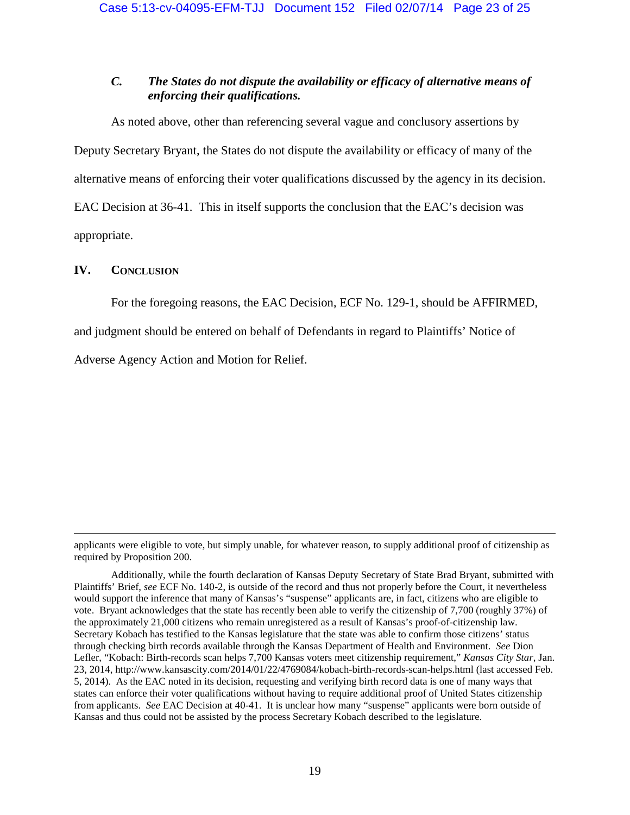# <span id="page-22-0"></span>*C. The States do not dispute the availability or efficacy of alternative means of enforcing their qualifications.*

As noted above, other than referencing several vague and conclusory assertions by Deputy Secretary Bryant, the States do not dispute the availability or efficacy of many of the alternative means of enforcing their voter qualifications discussed by the agency in its decision. EAC Decision at 36-41. This in itself supports the conclusion that the EAC's decision was appropriate.

## <span id="page-22-1"></span>**IV. CONCLUSION**

 $\overline{a}$ 

For the foregoing reasons, the EAC Decision, ECF No. 129-1, should be AFFIRMED,

and judgment should be entered on behalf of Defendants in regard to Plaintiffs' Notice of

Adverse Agency Action and Motion for Relief.

applicants were eligible to vote, but simply unable, for whatever reason, to supply additional proof of citizenship as required by Proposition 200.

Additionally, while the fourth declaration of Kansas Deputy Secretary of State Brad Bryant, submitted with Plaintiffs' Brief, *see* ECF No. 140-2, is outside of the record and thus not properly before the Court, it nevertheless would support the inference that many of Kansas's "suspense" applicants are, in fact, citizens who are eligible to vote. Bryant acknowledges that the state has recently been able to verify the citizenship of 7,700 (roughly 37%) of the approximately 21,000 citizens who remain unregistered as a result of Kansas's proof-of-citizenship law. Secretary Kobach has testified to the Kansas legislature that the state was able to confirm those citizens' status through checking birth records available through the Kansas Department of Health and Environment. *See* Dion Lefler, "Kobach: Birth-records scan helps 7,700 Kansas voters meet citizenship requirement," *Kansas City Star*, Jan. 23, 2014, http://www.kansascity.com/2014/01/22/4769084/kobach-birth-records-scan-helps.html (last accessed Feb. 5, 2014). As the EAC noted in its decision, requesting and verifying birth record data is one of many ways that states can enforce their voter qualifications without having to require additional proof of United States citizenship from applicants. *See* EAC Decision at 40-41. It is unclear how many "suspense" applicants were born outside of Kansas and thus could not be assisted by the process Secretary Kobach described to the legislature.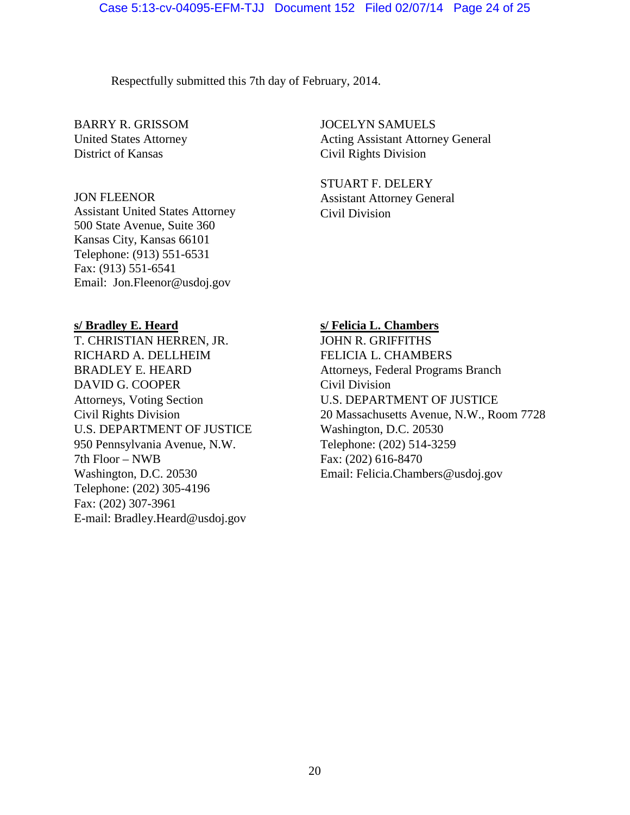Respectfully submitted this 7th day of February, 2014.

BARRY R. GRISSOM United States Attorney District of Kansas

## JON FLEENOR

Assistant United States Attorney 500 State Avenue, Suite 360 Kansas City, Kansas 66101 Telephone: (913) 551-6531 Fax: (913) 551-6541 Email: Jon.Fleenor@usdoj.gov

## **s/ Bradley E. Heard**

T. CHRISTIAN HERREN, JR. RICHARD A. DELLHEIM BRADLEY E. HEARD DAVID G. COOPER Attorneys, Voting Section Civil Rights Division U.S. DEPARTMENT OF JUSTICE 950 Pennsylvania Avenue, N.W. 7th Floor – NWB Washington, D.C. 20530 Telephone: (202) 305-4196 Fax: (202) 307-3961 E-mail: Bradley.Heard@usdoj.gov

JOCELYN SAMUELS Acting Assistant Attorney General Civil Rights Division

STUART F. DELERY Assistant Attorney General Civil Division

## **s/ Felicia L. Chambers**

JOHN R. GRIFFITHS FELICIA L. CHAMBERS Attorneys, Federal Programs Branch Civil Division U.S. DEPARTMENT OF JUSTICE 20 Massachusetts Avenue, N.W., Room 7728 Washington, D.C. 20530 Telephone: (202) 514-3259 Fax: (202) 616-8470 Email: Felicia.Chambers@usdoj.gov